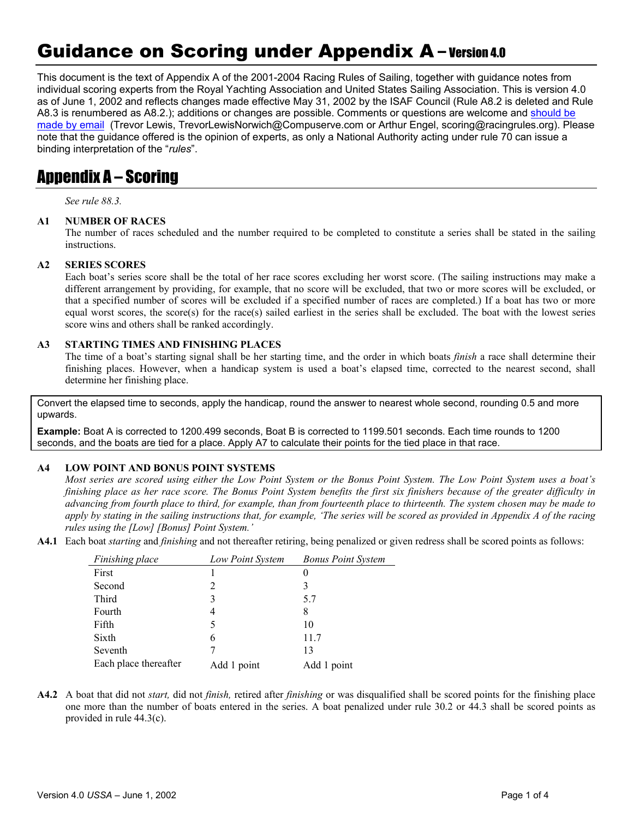# Guidance on Scoring under Appendix A – Version 4.0

This document is the text of Appendix A of the 2001-2004 Racing Rules of Sailing, together with guidance notes from individual scoring experts from the Royal Yachting Association and United States Sailing Association. This is version 4.0 as of June 1, 2002 and reflects changes made effective May 31, 2002 by the ISAF Council (Rule A8.2 is deleted and Rule A8.3 is renumbered as A8.2.); additions or changes are possible. Comments or questions are welcome and should be made by email (Trevor Lewis, TrevorLewisNorwich@Compuserve.com or Arthur Engel, scoring@racingrules.org). Please note that the guidance offered is the opinion of experts, as only a National Authority acting under rule 70 can issue a binding interpretation of the "*rules*".

### Appendix A – Scoring

*See rule 88.3.* 

#### **A1 NUMBER OF RACES**

The number of races scheduled and the number required to be completed to constitute a series shall be stated in the sailing instructions.

#### **A2 SERIES SCORES**

Each boat's series score shall be the total of her race scores excluding her worst score. (The sailing instructions may make a different arrangement by providing, for example, that no score will be excluded, that two or more scores will be excluded, or that a specified number of scores will be excluded if a specified number of races are completed.) If a boat has two or more equal worst scores, the score(s) for the race(s) sailed earliest in the series shall be excluded. The boat with the lowest series score wins and others shall be ranked accordingly.

#### **A3 STARTING TIMES AND FINISHING PLACES**

The time of a boat's starting signal shall be her starting time, and the order in which boats *finish* a race shall determine their finishing places. However, when a handicap system is used a boat's elapsed time, corrected to the nearest second, shall determine her finishing place.

Convert the elapsed time to seconds, apply the handicap, round the answer to nearest whole second, rounding 0.5 and more upwards.

**Example:** Boat A is corrected to 1200.499 seconds, Boat B is corrected to 1199.501 seconds. Each time rounds to 1200 seconds, and the boats are tied for a place. Apply A7 to calculate their points for the tied place in that race.

#### **A4 LOW POINT AND BONUS POINT SYSTEMS**

*Most series are scored using either the Low Point System or the Bonus Point System. The Low Point System uses a boat's finishing place as her race score. The Bonus Point System benefits the first six finishers because of the greater difficulty in advancing from fourth place to third, for example, than from fourteenth place to thirteenth. The system chosen may be made to apply by stating in the sailing instructions that, for example, 'The series will be scored as provided in Appendix A of the racing rules using the [Low] [Bonus] Point System.'* 

**A4.1** Each boat *starting* and *finishing* and not thereafter retiring, being penalized or given redress shall be scored points as follows:

| Finishing place       | Low Point System | <b>Bonus Point System</b> |
|-----------------------|------------------|---------------------------|
| First                 |                  |                           |
| Second                | 2                | 3                         |
| Third                 | 3                | 5.7                       |
| Fourth                | 4                | 8                         |
| Fifth                 | 5                | 10                        |
| Sixth                 | 6                | 11.7                      |
| Seventh               |                  | 13                        |
| Each place thereafter | Add 1 point      | Add 1 point               |

**A4.2** A boat that did not *start,* did not *finish,* retired after *finishing* or was disqualified shall be scored points for the finishing place one more than the number of boats entered in the series. A boat penalized under rule 30.2 or 44.3 shall be scored points as provided in rule 44.3(c).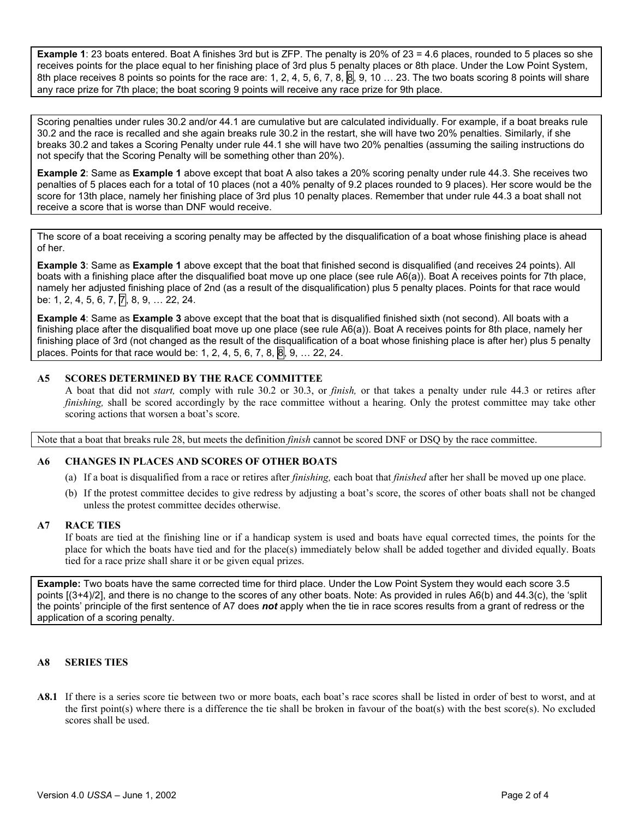**Example 1**: 23 boats entered. Boat A finishes 3rd but is ZFP. The penalty is 20% of 23 = 4.6 places, rounded to 5 places so she receives points for the place equal to her finishing place of 3rd plus 5 penalty places or 8th place. Under the Low Point System, 8th place receives 8 points so points for the race are: 1, 2, 4, 5, 6, 7, 8,  $\vert 8 \vert$ , 9, 10 ... 23. The two boats scoring 8 points will share any race prize for 7th place; the boat scoring 9 points will receive any race prize for 9th place.

Scoring penalties under rules 30.2 and/or 44.1 are cumulative but are calculated individually. For example, if a boat breaks rule 30.2 and the race is recalled and she again breaks rule 30.2 in the restart, she will have two 20% penalties. Similarly, if she breaks 30.2 and takes a Scoring Penalty under rule 44.1 she will have two 20% penalties (assuming the sailing instructions do not specify that the Scoring Penalty will be something other than 20%).

**Example 2**: Same as **Example 1** above except that boat A also takes a 20% scoring penalty under rule 44.3. She receives two penalties of 5 places each for a total of 10 places (not a 40% penalty of 9.2 places rounded to 9 places). Her score would be the score for 13th place, namely her finishing place of 3rd plus 10 penalty places. Remember that under rule 44.3 a boat shall not receive a score that is worse than DNF would receive.

The score of a boat receiving a scoring penalty may be affected by the disqualification of a boat whose finishing place is ahead of her.

**Example 3**: Same as **Example 1** above except that the boat that finished second is disqualified (and receives 24 points). All boats with a finishing place after the disqualified boat move up one place (see rule A6(a)). Boat A receives points for 7th place, namely her adjusted finishing place of 2nd (as a result of the disqualification) plus 5 penalty places. Points for that race would be: 1, 2, 4, 5, 6, 7, 7, 8, 9, ... 22, 24.

**Example 4**: Same as **Example 3** above except that the boat that is disqualified finished sixth (not second). All boats with a finishing place after the disqualified boat move up one place (see rule A6(a)). Boat A receives points for 8th place, namely her finishing place of 3rd (not changed as the result of the disqualification of a boat whose finishing place is after her) plus 5 penalty places. Points for that race would be: 1, 2, 4, 5, 6, 7, 8,  $\overline{8}$ , 9, ... 22, 24.

#### **A5 SCORES DETERMINED BY THE RACE COMMITTEE**

A boat that did not *start,* comply with rule 30.2 or 30.3, or *finish,* or that takes a penalty under rule 44.3 or retires after *finishing*, shall be scored accordingly by the race committee without a hearing. Only the protest committee may take other scoring actions that worsen a boat's score.

Note that a boat that breaks rule 28, but meets the definition *finish* cannot be scored DNF or DSQ by the race committee.

#### **A6 CHANGES IN PLACES AND SCORES OF OTHER BOATS**

- (a) If a boat is disqualified from a race or retires after *finishing,* each boat that *finished* after her shall be moved up one place.
- (b) If the protest committee decides to give redress by adjusting a boat's score, the scores of other boats shall not be changed unless the protest committee decides otherwise.

#### **A7 RACE TIES**

If boats are tied at the finishing line or if a handicap system is used and boats have equal corrected times, the points for the place for which the boats have tied and for the place(s) immediately below shall be added together and divided equally. Boats tied for a race prize shall share it or be given equal prizes.

**Example:** Two boats have the same corrected time for third place. Under the Low Point System they would each score 3.5 points [(3+4)/2], and there is no change to the scores of any other boats. Note: As provided in rules A6(b) and 44.3(c), the 'split the points' principle of the first sentence of A7 does *not* apply when the tie in race scores results from a grant of redress or the application of a scoring penalty.

#### **A8 SERIES TIES**

**A8.1** If there is a series score tie between two or more boats, each boat's race scores shall be listed in order of best to worst, and at the first point(s) where there is a difference the tie shall be broken in favour of the boat(s) with the best score(s). No excluded scores shall be used.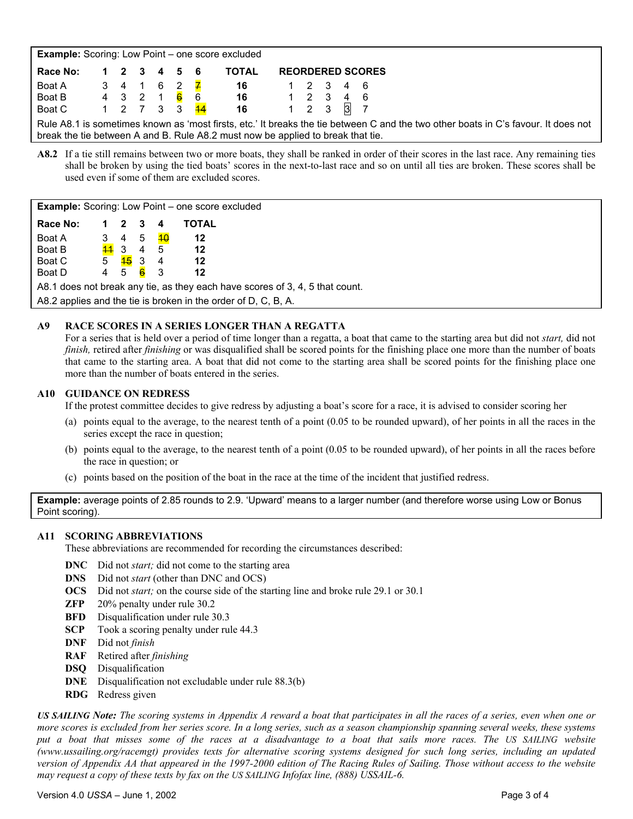| <b>Example:</b> Scoring: Low Point – one score excluded                                                                                                                                                               |             |  |  |  |  |                                 |                                              |  |  |  |                         |
|-----------------------------------------------------------------------------------------------------------------------------------------------------------------------------------------------------------------------|-------------|--|--|--|--|---------------------------------|----------------------------------------------|--|--|--|-------------------------|
| Race No:                                                                                                                                                                                                              | 1 2 3 4 5 6 |  |  |  |  |                                 | <b>TOTAL</b>                                 |  |  |  | <b>REORDERED SCORES</b> |
| Boat A                                                                                                                                                                                                                |             |  |  |  |  | 3 4 1 6 <u>2</u> <mark>7</mark> | 16 1 2 3 4 6                                 |  |  |  |                         |
| Boat B                                                                                                                                                                                                                |             |  |  |  |  |                                 | 4 3 2 1 <mark>6</mark> 6 <b>16</b> 1 2 3 4 6 |  |  |  |                         |
| Boat C                                                                                                                                                                                                                |             |  |  |  |  |                                 | 1 2 7 3 3 <mark>44</mark> 16 1 2 3 3 7       |  |  |  |                         |
| Rule A8.1 is sometimes known as 'most firsts, etc.' It breaks the tie between C and the two other boats in C's favour. It does not<br>break the tie between A and B. Rule A8.2 must now be applied to break that tie. |             |  |  |  |  |                                 |                                              |  |  |  |                         |

**A8.2** If a tie still remains between two or more boats, they shall be ranked in order of their scores in the last race. Any remaining ties shall be broken by using the tied boats' scores in the next-to-last race and so on until all ties are broken. These scores shall be used even if some of them are excluded scores.

| <b>Example:</b> Scoring: Low Point – one score excluded                      |                 |           |     |                 |       |  |  |  |
|------------------------------------------------------------------------------|-----------------|-----------|-----|-----------------|-------|--|--|--|
| Race No:                                                                     | 1.              | 2         | 3   | 4               | TOTAL |  |  |  |
| Boat A                                                                       | 3               | 4         | - 5 | $\overline{40}$ | 12    |  |  |  |
| Boat B                                                                       | $\overline{44}$ | -3        | 4   | 5               | 12    |  |  |  |
| Boat C                                                                       | 5 <sup>5</sup>  | <u>45</u> | -3  | 4               | 12    |  |  |  |
| Boat D                                                                       | 4               | 5         | 6   | 3               | 12    |  |  |  |
| A8.1 does not break any tie, as they each have scores of 3, 4, 5 that count. |                 |           |     |                 |       |  |  |  |
| A8.2 applies and the tie is broken in the order of D, C, B, A.               |                 |           |     |                 |       |  |  |  |

#### **A9 RACE SCORES IN A SERIES LONGER THAN A REGATTA**

For a series that is held over a period of time longer than a regatta, a boat that came to the starting area but did not *start,* did not *finish*, retired after *finishing* or was disqualified shall be scored points for the finishing place one more than the number of boats that came to the starting area. A boat that did not come to the starting area shall be scored points for the finishing place one more than the number of boats entered in the series.

#### **A10 GUIDANCE ON REDRESS**

If the protest committee decides to give redress by adjusting a boat's score for a race, it is advised to consider scoring her

- (a) points equal to the average, to the nearest tenth of a point (0.05 to be rounded upward), of her points in all the races in the series except the race in question;
- (b) points equal to the average, to the nearest tenth of a point (0.05 to be rounded upward), of her points in all the races before the race in question; or
- (c) points based on the position of the boat in the race at the time of the incident that justified redress.

**Example:** average points of 2.85 rounds to 2.9. 'Upward' means to a larger number (and therefore worse using Low or Bonus Point scoring).

#### **A11 SCORING ABBREVIATIONS**

These abbreviations are recommended for recording the circumstances described:

- **DNC** Did not *start*; did not come to the starting area
- **DNS** Did not *start* (other than DNC and OCS)
- **OCS** Did not *start;* on the course side of the starting line and broke rule 29.1 or 30.1
- **ZFP** 20% penalty under rule 30.2
- **BFD** Disqualification under rule 30.3
- **SCP** Took a scoring penalty under rule 44.3
- **DNF** Did not *finish*
- **RAF** Retired after *finishing*
- **DSQ** Disqualification
- **DNE** Disqualification not excludable under rule 88.3(b)
- **RDG** Redress given

*US SAILING Note: The scoring systems in Appendix A reward a boat that participates in all the races of a series, even when one or more scores is excluded from her series score. In a long series, such as a season championship spanning several weeks, these systems put a boat that misses some of the races at a disadvantage to a boat that sails more races. The US SAILING website (www.ussailing.org/racemgt) provides texts for alternative scoring systems designed for such long series, including an updated version of Appendix AA that appeared in the 1997-2000 edition of The Racing Rules of Sailing. Those without access to the website may request a copy of these texts by fax on the US SAILING Infofax line, (888) USSAIL-6.* 

#### Version 4.0 *USSA* – June 1, 2002 Page 3 of 4